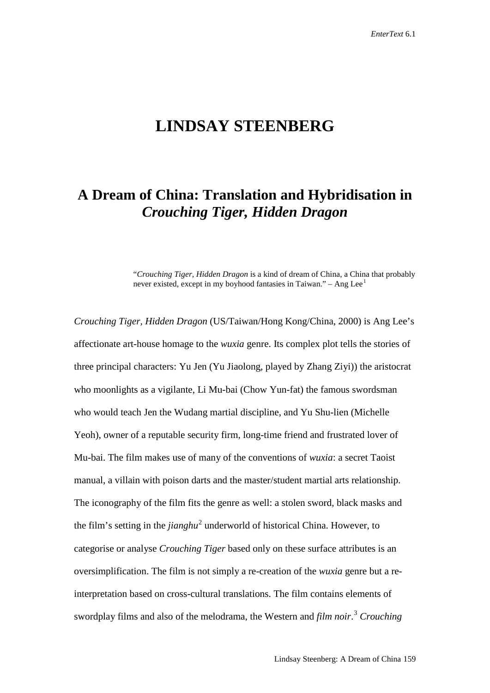# **LINDSAY STEENBERG**

# **A Dream of China: Translation and Hybridisation in**  *Crouching Tiger, Hidden Dragon*

"*Crouching Tiger, Hidden Dragon* is a kind of dream of China, a China that probably never existed, except in my boyhood fantasies in Taiwan." – Ang Lee<sup>[1](#page-21-0)</sup>

*Crouching Tiger, Hidden Dragon* (US/Taiwan/Hong Kong/China, 2000) is Ang Lee's affectionate art-house homage to the *wuxia* genre. Its complex plot tells the stories of three principal characters: Yu Jen (Yu Jiaolong, played by Zhang Ziyi)) the aristocrat who moonlights as a vigilante, Li Mu-bai (Chow Yun-fat) the famous swordsman who would teach Jen the Wudang martial discipline, and Yu Shu-lien (Michelle Yeoh), owner of a reputable security firm, long-time friend and frustrated lover of Mu-bai. The film makes use of many of the conventions of *wuxia*: a secret Taoist manual, a villain with poison darts and the master/student martial arts relationship. The iconography of the film fits the genre as well: a stolen sword, black masks and the film's setting in the *jianghu*<sup>[2](#page-21-1)</sup> underworld of historical China. However, to categorise or analyse *Crouching Tiger* based only on these surface attributes is an oversimplification. The film is not simply a re-creation of the *wuxia* genre but a reinterpretation based on cross-cultural translations. The film contains elements of swordplay films and also of the melodrama, the Western and *film noir*. [3](#page-21-2) *Crouching*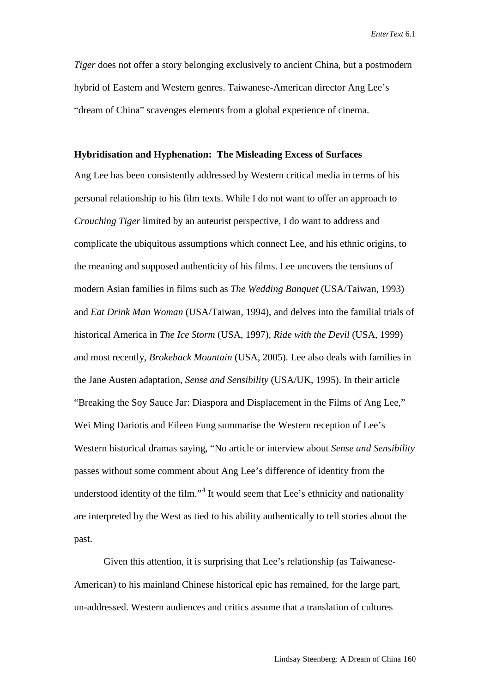*Tiger* does not offer a story belonging exclusively to ancient China, but a postmodern hybrid of Eastern and Western genres. Taiwanese-American director Ang Lee's "dream of China" scavenges elements from a global experience of cinema.

#### **Hybridisation and Hyphenation: The Misleading Excess of Surfaces**

Ang Lee has been consistently addressed by Western critical media in terms of his personal relationship to his film texts. While I do not want to offer an approach to *Crouching Tiger* limited by an auteurist perspective, I do want to address and complicate the ubiquitous assumptions which connect Lee, and his ethnic origins, to the meaning and supposed authenticity of his films. Lee uncovers the tensions of modern Asian families in films such as *The Wedding Banquet* (USA/Taiwan, 1993) and *Eat Drink Man Woman* (USA/Taiwan, 1994), and delves into the familial trials of historical America in *The Ice Storm* (USA, 1997)*, Ride with the Devil* (USA, 1999) and most recently, *Brokeback Mountain* (USA, 2005). Lee also deals with families in the Jane Austen adaptation, *Sense and Sensibility* (USA/UK, 1995). In their article "Breaking the Soy Sauce Jar: Diaspora and Displacement in the Films of Ang Lee," Wei Ming Dariotis and Eileen Fung summarise the Western reception of Lee's Western historical dramas saying, "No article or interview about *Sense and Sensibility*  passes without some comment about Ang Lee's difference of identity from the understood identity of the film."<sup>[4](#page-22-0)</sup> It would seem that Lee's ethnicity and nationality are interpreted by the West as tied to his ability authentically to tell stories about the past.

Given this attention, it is surprising that Lee's relationship (as Taiwanese-American) to his mainland Chinese historical epic has remained, for the large part, un-addressed. Western audiences and critics assume that a translation of cultures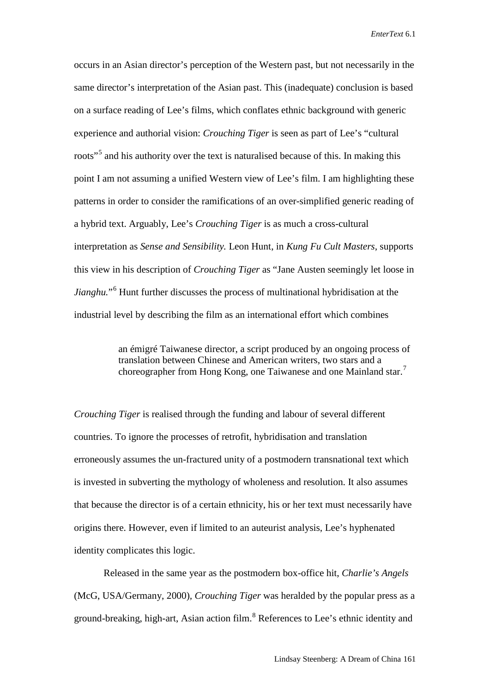occurs in an Asian director's perception of the Western past, but not necessarily in the same director's interpretation of the Asian past. This (inadequate) conclusion is based on a surface reading of Lee's films, which conflates ethnic background with generic experience and authorial vision: *Crouching Tiger* is seen as part of Lee's "cultural roots<sup>"[5](#page-22-1)</sup> and his authority over the text is naturalised because of this. In making this point I am not assuming a unified Western view of Lee's film. I am highlighting these patterns in order to consider the ramifications of an over-simplified generic reading of a hybrid text. Arguably, Lee's *Crouching Tiger* is as much a cross-cultural interpretation as *Sense and Sensibility.* Leon Hunt, in *Kung Fu Cult Masters*, supports this view in his description of *Crouching Tiger* as "Jane Austen seemingly let loose in *Jianghu.*"[6](#page-22-2) Hunt further discusses the process of multinational hybridisation at the industrial level by describing the film as an international effort which combines

> an émigré Taiwanese director, a script produced by an ongoing process of translation between Chinese and American writers, two stars and a choreographer from Hong Kong, one Taiwanese and one Mainland star.<sup>[7](#page-22-3)</sup>

*Crouching Tiger* is realised through the funding and labour of several different countries. To ignore the processes of retrofit, hybridisation and translation erroneously assumes the un-fractured unity of a postmodern transnational text which is invested in subverting the mythology of wholeness and resolution. It also assumes that because the director is of a certain ethnicity, his or her text must necessarily have origins there. However, even if limited to an auteurist analysis, Lee's hyphenated identity complicates this logic.

Released in the same year as the postmodern box-office hit, *Charlie's Angels*  (McG, USA/Germany, 2000)*, Crouching Tiger* was heralded by the popular press as a ground-breaking, high-art, Asian action film.<sup>[8](#page-22-4)</sup> References to Lee's ethnic identity and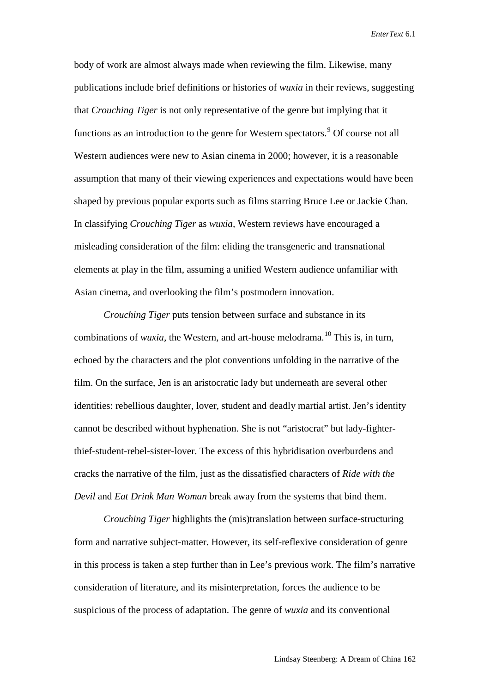body of work are almost always made when reviewing the film. Likewise, many publications include brief definitions or histories of *wuxia* in their reviews, suggesting that *Crouching Tiger* is not only representative of the genre but implying that it functions as an introduction to the genre for Western spectators.<sup>[9](#page-22-5)</sup> Of course not all Western audiences were new to Asian cinema in 2000; however, it is a reasonable assumption that many of their viewing experiences and expectations would have been shaped by previous popular exports such as films starring Bruce Lee or Jackie Chan. In classifying *Crouching Tiger* as *wuxia,* Western reviews have encouraged a misleading consideration of the film: eliding the transgeneric and transnational elements at play in the film, assuming a unified Western audience unfamiliar with Asian cinema, and overlooking the film's postmodern innovation.

*Crouching Tiger* puts tension between surface and substance in its combinations of *wuxia,* the Western, and art-house melodrama. [10](#page-22-6) This is, in turn, echoed by the characters and the plot conventions unfolding in the narrative of the film. On the surface, Jen is an aristocratic lady but underneath are several other identities: rebellious daughter, lover, student and deadly martial artist. Jen's identity cannot be described without hyphenation. She is not "aristocrat" but lady-fighterthief-student-rebel-sister-lover. The excess of this hybridisation overburdens and cracks the narrative of the film, just as the dissatisfied characters of *Ride with the Devil* and *Eat Drink Man Woman* break away from the systems that bind them.

*Crouching Tiger* highlights the (mis)translation between surface-structuring form and narrative subject-matter. However, its self-reflexive consideration of genre in this process is taken a step further than in Lee's previous work. The film's narrative consideration of literature, and its misinterpretation, forces the audience to be suspicious of the process of adaptation. The genre of *wuxia* and its conventional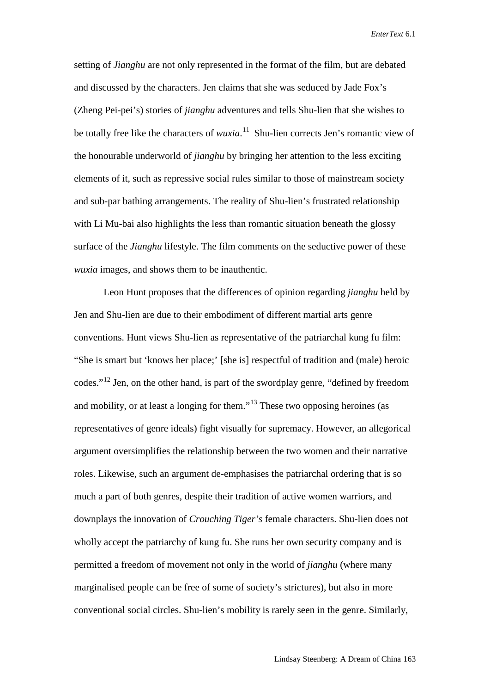setting of *Jianghu* are not only represented in the format of the film, but are debated and discussed by the characters. Jen claims that she was seduced by Jade Fox's (Zheng Pei-pei's) stories of *jianghu* adventures and tells Shu-lien that she wishes to be totally free like the characters of *wuxia*.<sup>[11](#page-22-7)</sup> Shu-lien corrects Jen's romantic view of the honourable underworld of *jianghu* by bringing her attention to the less exciting elements of it, such as repressive social rules similar to those of mainstream society and sub-par bathing arrangements. The reality of Shu-lien's frustrated relationship with Li Mu-bai also highlights the less than romantic situation beneath the glossy surface of the *Jianghu* lifestyle. The film comments on the seductive power of these *wuxia* images, and shows them to be inauthentic.

Leon Hunt proposes that the differences of opinion regarding *jianghu* held by Jen and Shu-lien are due to their embodiment of different martial arts genre conventions. Hunt views Shu-lien as representative of the patriarchal kung fu film: "She is smart but 'knows her place;' [she is] respectful of tradition and (male) heroic codes."[12](#page-22-8) Jen, on the other hand, is part of the swordplay genre, "defined by freedom and mobility, or at least a longing for them."<sup>[13](#page-22-9)</sup> These two opposing heroines (as representatives of genre ideals) fight visually for supremacy. However, an allegorical argument oversimplifies the relationship between the two women and their narrative roles. Likewise, such an argument de-emphasises the patriarchal ordering that is so much a part of both genres, despite their tradition of active women warriors, and downplays the innovation of *Crouching Tiger's* female characters. Shu-lien does not wholly accept the patriarchy of kung fu. She runs her own security company and is permitted a freedom of movement not only in the world of *jianghu* (where many marginalised people can be free of some of society's strictures), but also in more conventional social circles. Shu-lien's mobility is rarely seen in the genre. Similarly,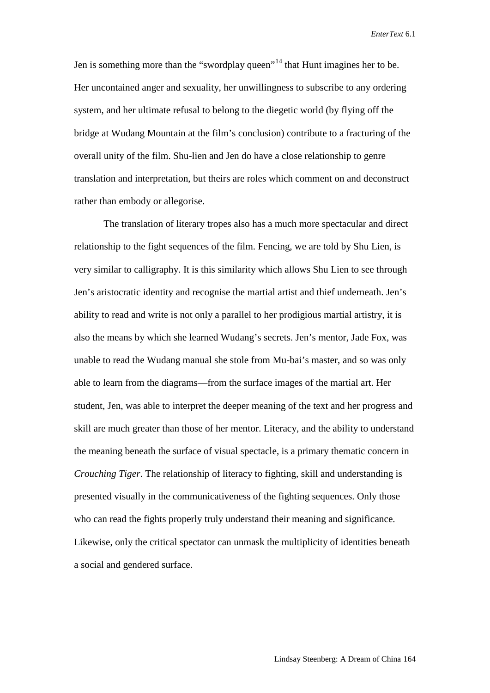Jen is something more than the "swordplay queen"<sup>[14](#page-22-10)</sup> that Hunt imagines her to be. Her uncontained anger and sexuality, her unwillingness to subscribe to any ordering system, and her ultimate refusal to belong to the diegetic world (by flying off the bridge at Wudang Mountain at the film's conclusion) contribute to a fracturing of the overall unity of the film. Shu-lien and Jen do have a close relationship to genre translation and interpretation, but theirs are roles which comment on and deconstruct rather than embody or allegorise.

The translation of literary tropes also has a much more spectacular and direct relationship to the fight sequences of the film. Fencing, we are told by Shu Lien, is very similar to calligraphy. It is this similarity which allows Shu Lien to see through Jen's aristocratic identity and recognise the martial artist and thief underneath. Jen's ability to read and write is not only a parallel to her prodigious martial artistry, it is also the means by which she learned Wudang's secrets. Jen's mentor, Jade Fox, was unable to read the Wudang manual she stole from Mu-bai's master, and so was only able to learn from the diagrams—from the surface images of the martial art. Her student, Jen, was able to interpret the deeper meaning of the text and her progress and skill are much greater than those of her mentor. Literacy, and the ability to understand the meaning beneath the surface of visual spectacle, is a primary thematic concern in *Crouching Tiger*. The relationship of literacy to fighting, skill and understanding is presented visually in the communicativeness of the fighting sequences. Only those who can read the fights properly truly understand their meaning and significance. Likewise, only the critical spectator can unmask the multiplicity of identities beneath a social and gendered surface.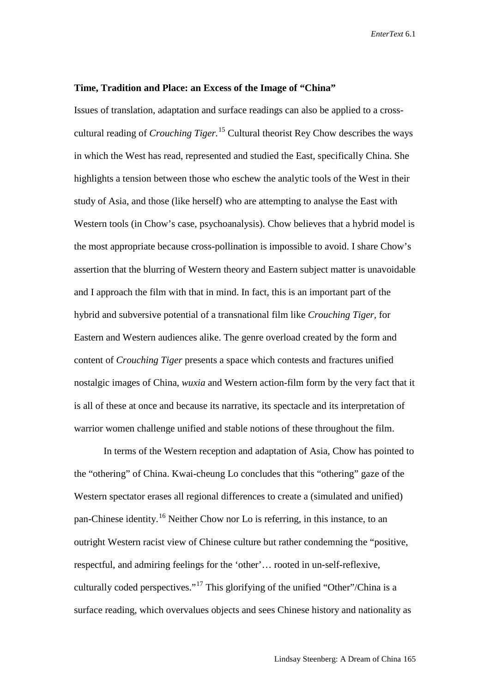#### **Time, Tradition and Place: an Excess of the Image of "China"**

Issues of translation, adaptation and surface readings can also be applied to a crosscultural reading of *Crouching Tiger.*[15](#page-22-11) Cultural theorist Rey Chow describes the ways in which the West has read, represented and studied the East, specifically China. She highlights a tension between those who eschew the analytic tools of the West in their study of Asia, and those (like herself) who are attempting to analyse the East with Western tools (in Chow's case, psychoanalysis). Chow believes that a hybrid model is the most appropriate because cross-pollination is impossible to avoid. I share Chow's assertion that the blurring of Western theory and Eastern subject matter is unavoidable and I approach the film with that in mind. In fact, this is an important part of the hybrid and subversive potential of a transnational film like *Crouching Tiger,* for Eastern and Western audiences alike. The genre overload created by the form and content of *Crouching Tiger* presents a space which contests and fractures unified nostalgic images of China, *wuxia* and Western action-film form by the very fact that it is all of these at once and because its narrative, its spectacle and its interpretation of warrior women challenge unified and stable notions of these throughout the film.

In terms of the Western reception and adaptation of Asia, Chow has pointed to the "othering" of China. Kwai-cheung Lo concludes that this "othering" gaze of the Western spectator erases all regional differences to create a (simulated and unified) pan-Chinese identity.[16](#page-22-12) Neither Chow nor Lo is referring, in this instance, to an outright Western racist view of Chinese culture but rather condemning the "positive, respectful, and admiring feelings for the 'other'… rooted in un-self-reflexive, culturally coded perspectives."[17](#page-22-13) This glorifying of the unified "Other"/China is a surface reading, which overvalues objects and sees Chinese history and nationality as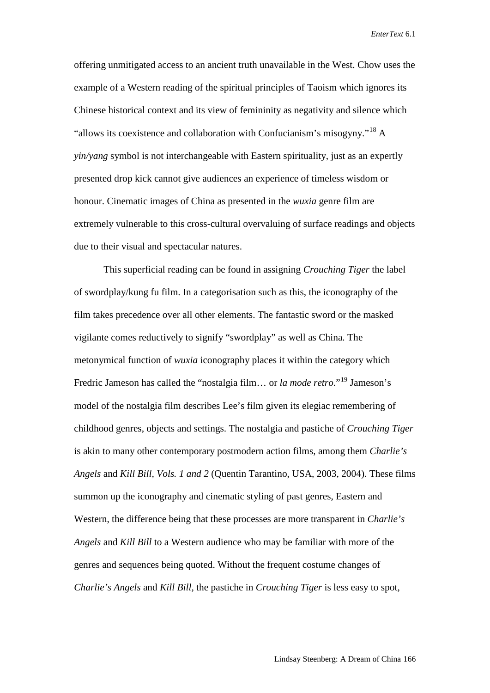offering unmitigated access to an ancient truth unavailable in the West. Chow uses the example of a Western reading of the spiritual principles of Taoism which ignores its Chinese historical context and its view of femininity as negativity and silence which "allows its coexistence and collaboration with Confucianism's misogyny."<sup>[18](#page-22-14)</sup> A *yin/yang* symbol is not interchangeable with Eastern spirituality, just as an expertly presented drop kick cannot give audiences an experience of timeless wisdom or honour. Cinematic images of China as presented in the *wuxia* genre film are extremely vulnerable to this cross-cultural overvaluing of surface readings and objects due to their visual and spectacular natures.

This superficial reading can be found in assigning *Crouching Tiger* the label of swordplay/kung fu film. In a categorisation such as this, the iconography of the film takes precedence over all other elements. The fantastic sword or the masked vigilante comes reductively to signify "swordplay" as well as China. The metonymical function of *wuxia* iconography places it within the category which Fredric Jameson has called the "nostalgia film… or *la mode retro*."[19](#page-22-15) Jameson's model of the nostalgia film describes Lee's film given its elegiac remembering of childhood genres, objects and settings. The nostalgia and pastiche of *Crouching Tiger*  is akin to many other contemporary postmodern action films, among them *Charlie's Angels* and *Kill Bill, Vols. 1 and 2* (Quentin Tarantino, USA, 2003, 2004). These films summon up the iconography and cinematic styling of past genres, Eastern and Western, the difference being that these processes are more transparent in *Charlie's Angels* and *Kill Bill* to a Western audience who may be familiar with more of the genres and sequences being quoted. Without the frequent costume changes of *Charlie's Angels* and *Kill Bill,* the pastiche in *Crouching Tiger* is less easy to spot,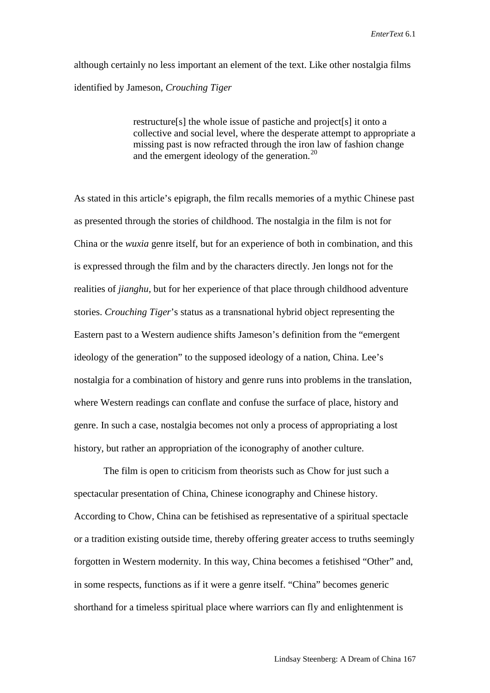although certainly no less important an element of the text. Like other nostalgia films identified by Jameson, *Crouching Tiger*

> restructure[s] the whole issue of pastiche and project[s] it onto a collective and social level, where the desperate attempt to appropriate a missing past is now refracted through the iron law of fashion change and the emergent ideology of the generation. $^{20}$  $^{20}$  $^{20}$

As stated in this article's epigraph, the film recalls memories of a mythic Chinese past as presented through the stories of childhood. The nostalgia in the film is not for China or the *wuxia* genre itself, but for an experience of both in combination, and this is expressed through the film and by the characters directly. Jen longs not for the realities of *jianghu,* but for her experience of that place through childhood adventure stories. *Crouching Tiger*'s status as a transnational hybrid object representing the Eastern past to a Western audience shifts Jameson's definition from the "emergent ideology of the generation" to the supposed ideology of a nation, China. Lee's nostalgia for a combination of history and genre runs into problems in the translation, where Western readings can conflate and confuse the surface of place, history and genre. In such a case, nostalgia becomes not only a process of appropriating a lost history, but rather an appropriation of the iconography of another culture.

The film is open to criticism from theorists such as Chow for just such a spectacular presentation of China, Chinese iconography and Chinese history. According to Chow, China can be fetishised as representative of a spiritual spectacle or a tradition existing outside time, thereby offering greater access to truths seemingly forgotten in Western modernity. In this way, China becomes a fetishised "Other" and, in some respects, functions as if it were a genre itself. "China" becomes generic shorthand for a timeless spiritual place where warriors can fly and enlightenment is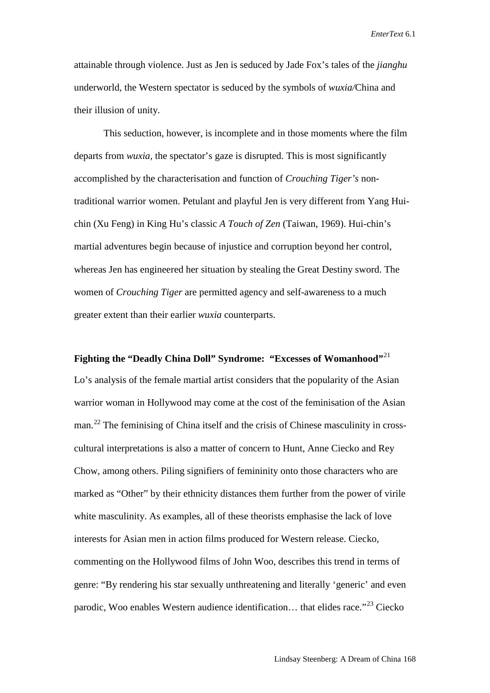attainable through violence. Just as Jen is seduced by Jade Fox's tales of the *jianghu*  underworld, the Western spectator is seduced by the symbols of *wuxia/*China and their illusion of unity.

This seduction, however, is incomplete and in those moments where the film departs from *wuxia,* the spectator's gaze is disrupted. This is most significantly accomplished by the characterisation and function of *Crouching Tiger's* nontraditional warrior women. Petulant and playful Jen is very different from Yang Huichin (Xu Feng) in King Hu's classic *A Touch of Zen* (Taiwan, 1969). Hui-chin's martial adventures begin because of injustice and corruption beyond her control, whereas Jen has engineered her situation by stealing the Great Destiny sword. The women of *Crouching Tiger* are permitted agency and self-awareness to a much greater extent than their earlier *wuxia* counterparts.

**Fighting the "Deadly China Doll" Syndrome: "Excesses of Womanhood"**[21](#page-22-17) Lo's analysis of the female martial artist considers that the popularity of the Asian warrior woman in Hollywood may come at the cost of the feminisation of the Asian man.<sup>[22](#page-22-18)</sup> The feminising of China itself and the crisis of Chinese masculinity in crosscultural interpretations is also a matter of concern to Hunt, Anne Ciecko and Rey Chow, among others. Piling signifiers of femininity onto those characters who are marked as "Other" by their ethnicity distances them further from the power of virile white masculinity. As examples, all of these theorists emphasise the lack of love interests for Asian men in action films produced for Western release. Ciecko, commenting on the Hollywood films of John Woo, describes this trend in terms of genre: "By rendering his star sexually unthreatening and literally 'generic' and even parodic, Woo enables Western audience identification... that elides race."<sup>[23](#page-22-19)</sup> Ciecko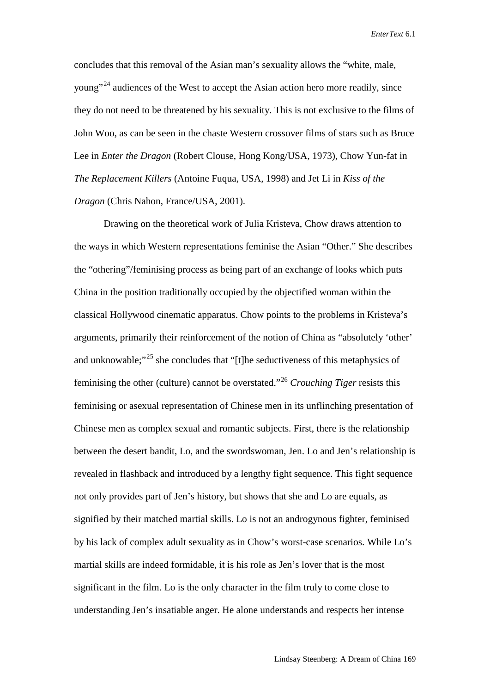concludes that this removal of the Asian man's sexuality allows the "white, male, young"[24](#page-22-20) audiences of the West to accept the Asian action hero more readily, since they do not need to be threatened by his sexuality. This is not exclusive to the films of John Woo, as can be seen in the chaste Western crossover films of stars such as Bruce Lee in *Enter the Dragon* (Robert Clouse, Hong Kong/USA, 1973)*,* Chow Yun-fat in *The Replacement Killers* (Antoine Fuqua, USA, 1998) and Jet Li in *Kiss of the Dragon* (Chris Nahon, France/USA, 2001).

Drawing on the theoretical work of Julia Kristeva, Chow draws attention to the ways in which Western representations feminise the Asian "Other." She describes the "othering"/feminising process as being part of an exchange of looks which puts China in the position traditionally occupied by the objectified woman within the classical Hollywood cinematic apparatus. Chow points to the problems in Kristeva's arguments, primarily their reinforcement of the notion of China as "absolutely 'other' and unknowable; $"^{25}$  $"^{25}$  $"^{25}$  she concludes that "[t]he seductiveness of this metaphysics of feminising the other (culture) cannot be overstated."[26](#page-22-22) *Crouching Tiger* resists this feminising or asexual representation of Chinese men in its unflinching presentation of Chinese men as complex sexual and romantic subjects. First, there is the relationship between the desert bandit, Lo, and the swordswoman, Jen. Lo and Jen's relationship is revealed in flashback and introduced by a lengthy fight sequence. This fight sequence not only provides part of Jen's history, but shows that she and Lo are equals, as signified by their matched martial skills. Lo is not an androgynous fighter, feminised by his lack of complex adult sexuality as in Chow's worst-case scenarios. While Lo's martial skills are indeed formidable, it is his role as Jen's lover that is the most significant in the film. Lo is the only character in the film truly to come close to understanding Jen's insatiable anger. He alone understands and respects her intense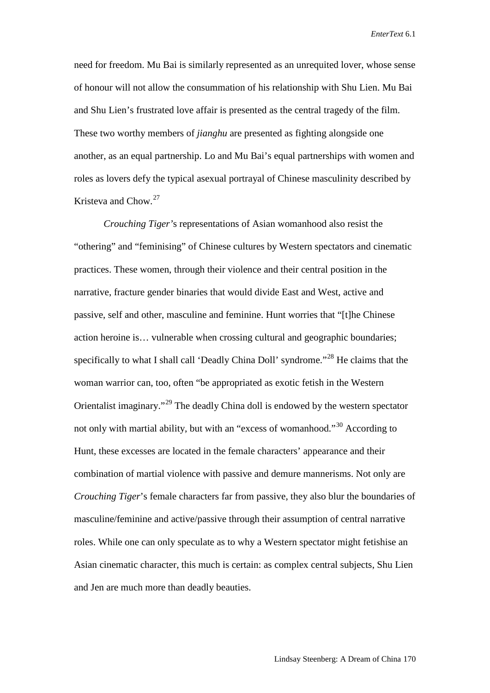need for freedom. Mu Bai is similarly represented as an unrequited lover, whose sense of honour will not allow the consummation of his relationship with Shu Lien. Mu Bai and Shu Lien's frustrated love affair is presented as the central tragedy of the film. These two worthy members of *jianghu* are presented as fighting alongside one another, as an equal partnership. Lo and Mu Bai's equal partnerships with women and roles as lovers defy the typical asexual portrayal of Chinese masculinity described by Kristeva and Chow.[27](#page-22-23)

*Crouching Tiger'*s representations of Asian womanhood also resist the "othering" and "feminising" of Chinese cultures by Western spectators and cinematic practices. These women, through their violence and their central position in the narrative, fracture gender binaries that would divide East and West, active and passive, self and other, masculine and feminine. Hunt worries that "[t]he Chinese action heroine is… vulnerable when crossing cultural and geographic boundaries; specifically to what I shall call 'Deadly China Doll' syndrome."<sup>[28](#page-22-24)</sup> He claims that the woman warrior can, too, often "be appropriated as exotic fetish in the Western Orientalist imaginary."[29](#page-22-25) The deadly China doll is endowed by the western spectator not only with martial ability, but with an "excess of womanhood."<sup>[30](#page-22-26)</sup> According to Hunt, these excesses are located in the female characters' appearance and their combination of martial violence with passive and demure mannerisms. Not only are *Crouching Tiger*'s female characters far from passive, they also blur the boundaries of masculine/feminine and active/passive through their assumption of central narrative roles. While one can only speculate as to why a Western spectator might fetishise an Asian cinematic character, this much is certain: as complex central subjects, Shu Lien and Jen are much more than deadly beauties.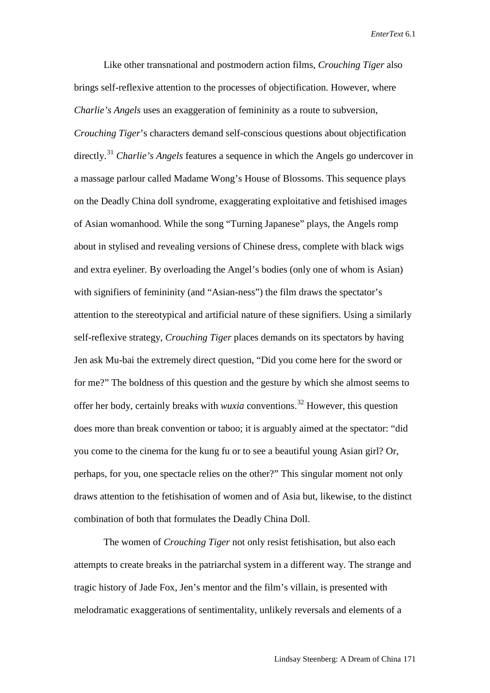Like other transnational and postmodern action films, *Crouching Tiger* also brings self-reflexive attention to the processes of objectification. However, where *Charlie's Angels* uses an exaggeration of femininity as a route to subversion, *Crouching Tiger*'s characters demand self-conscious questions about objectification directly.[31](#page-22-27) *Charlie's Angels* features a sequence in which the Angels go undercover in a massage parlour called Madame Wong's House of Blossoms. This sequence plays on the Deadly China doll syndrome, exaggerating exploitative and fetishised images of Asian womanhood. While the song "Turning Japanese" plays, the Angels romp about in stylised and revealing versions of Chinese dress, complete with black wigs and extra eyeliner. By overloading the Angel's bodies (only one of whom is Asian) with signifiers of femininity (and "Asian-ness") the film draws the spectator's attention to the stereotypical and artificial nature of these signifiers. Using a similarly self-reflexive strategy, *Crouching Tiger* places demands on its spectators by having Jen ask Mu-bai the extremely direct question, "Did you come here for the sword or for me?" The boldness of this question and the gesture by which she almost seems to offer her body, certainly breaks with *wuxia* conventions.[32](#page-22-28) However, this question does more than break convention or taboo; it is arguably aimed at the spectator: "did you come to the cinema for the kung fu or to see a beautiful young Asian girl? Or, perhaps, for you, one spectacle relies on the other?" This singular moment not only draws attention to the fetishisation of women and of Asia but, likewise, to the distinct combination of both that formulates the Deadly China Doll.

The women of *Crouching Tiger* not only resist fetishisation, but also each attempts to create breaks in the patriarchal system in a different way. The strange and tragic history of Jade Fox, Jen's mentor and the film's villain, is presented with melodramatic exaggerations of sentimentality, unlikely reversals and elements of a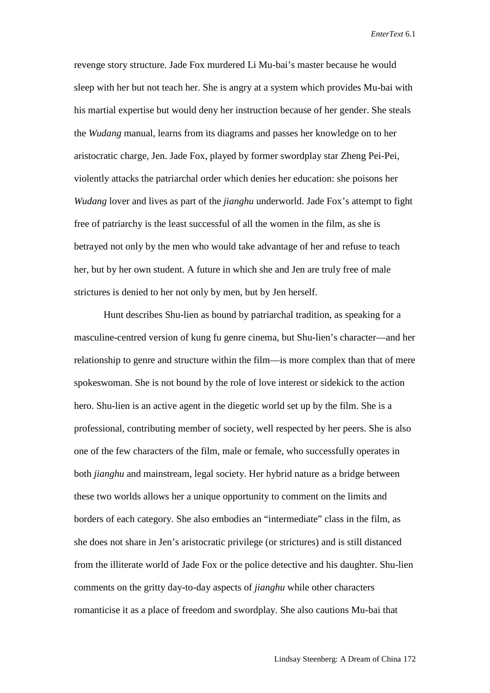revenge story structure. Jade Fox murdered Li Mu-bai's master because he would sleep with her but not teach her. She is angry at a system which provides Mu-bai with his martial expertise but would deny her instruction because of her gender. She steals the *Wudang* manual, learns from its diagrams and passes her knowledge on to her aristocratic charge, Jen. Jade Fox, played by former swordplay star Zheng Pei-Pei, violently attacks the patriarchal order which denies her education: she poisons her *Wudang* lover and lives as part of the *jianghu* underworld. Jade Fox's attempt to fight free of patriarchy is the least successful of all the women in the film, as she is betrayed not only by the men who would take advantage of her and refuse to teach her, but by her own student. A future in which she and Jen are truly free of male strictures is denied to her not only by men, but by Jen herself.

Hunt describes Shu-lien as bound by patriarchal tradition, as speaking for a masculine-centred version of kung fu genre cinema, but Shu-lien's character—and her relationship to genre and structure within the film—is more complex than that of mere spokeswoman. She is not bound by the role of love interest or sidekick to the action hero. Shu-lien is an active agent in the diegetic world set up by the film. She is a professional, contributing member of society, well respected by her peers. She is also one of the few characters of the film, male or female, who successfully operates in both *jianghu* and mainstream, legal society. Her hybrid nature as a bridge between these two worlds allows her a unique opportunity to comment on the limits and borders of each category. She also embodies an "intermediate" class in the film, as she does not share in Jen's aristocratic privilege (or strictures) and is still distanced from the illiterate world of Jade Fox or the police detective and his daughter. Shu-lien comments on the gritty day-to-day aspects of *jianghu* while other characters romanticise it as a place of freedom and swordplay. She also cautions Mu-bai that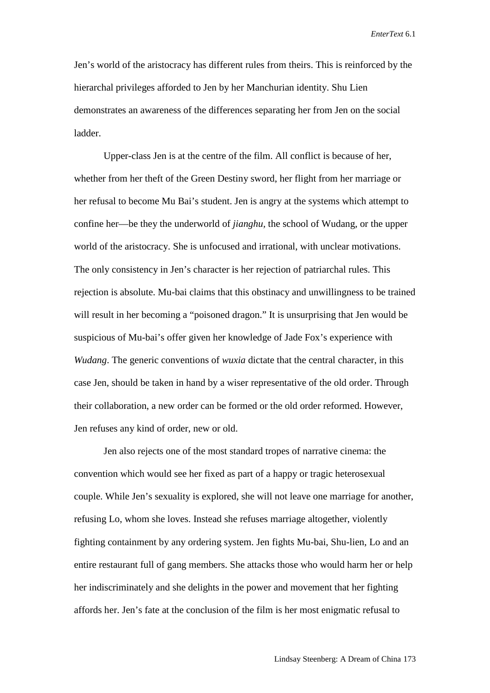Jen's world of the aristocracy has different rules from theirs. This is reinforced by the hierarchal privileges afforded to Jen by her Manchurian identity. Shu Lien demonstrates an awareness of the differences separating her from Jen on the social ladder.

Upper-class Jen is at the centre of the film. All conflict is because of her, whether from her theft of the Green Destiny sword, her flight from her marriage or her refusal to become Mu Bai's student. Jen is angry at the systems which attempt to confine her—be they the underworld of *jianghu,* the school of Wudang, or the upper world of the aristocracy. She is unfocused and irrational, with unclear motivations. The only consistency in Jen's character is her rejection of patriarchal rules. This rejection is absolute. Mu-bai claims that this obstinacy and unwillingness to be trained will result in her becoming a "poisoned dragon." It is unsurprising that Jen would be suspicious of Mu-bai's offer given her knowledge of Jade Fox's experience with *Wudang*. The generic conventions of *wuxia* dictate that the central character, in this case Jen, should be taken in hand by a wiser representative of the old order. Through their collaboration, a new order can be formed or the old order reformed. However, Jen refuses any kind of order, new or old.

Jen also rejects one of the most standard tropes of narrative cinema: the convention which would see her fixed as part of a happy or tragic heterosexual couple. While Jen's sexuality is explored, she will not leave one marriage for another, refusing Lo, whom she loves. Instead she refuses marriage altogether, violently fighting containment by any ordering system. Jen fights Mu-bai, Shu-lien, Lo and an entire restaurant full of gang members. She attacks those who would harm her or help her indiscriminately and she delights in the power and movement that her fighting affords her. Jen's fate at the conclusion of the film is her most enigmatic refusal to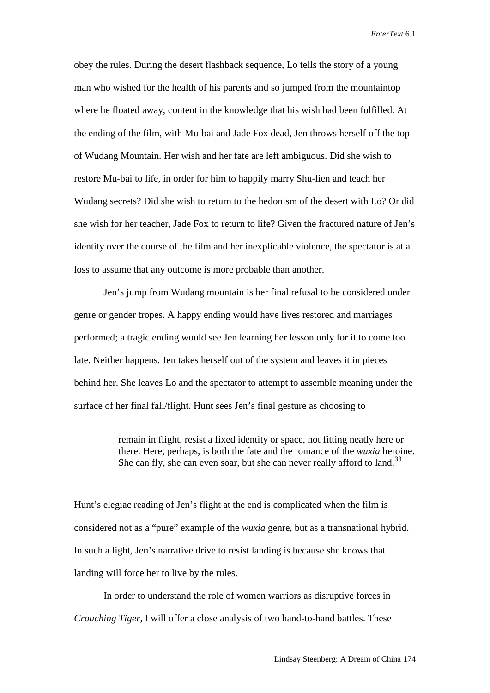obey the rules. During the desert flashback sequence, Lo tells the story of a young man who wished for the health of his parents and so jumped from the mountaintop where he floated away, content in the knowledge that his wish had been fulfilled. At the ending of the film, with Mu-bai and Jade Fox dead, Jen throws herself off the top of Wudang Mountain. Her wish and her fate are left ambiguous. Did she wish to restore Mu-bai to life, in order for him to happily marry Shu-lien and teach her Wudang secrets? Did she wish to return to the hedonism of the desert with Lo? Or did she wish for her teacher, Jade Fox to return to life? Given the fractured nature of Jen's identity over the course of the film and her inexplicable violence, the spectator is at a loss to assume that any outcome is more probable than another.

Jen's jump from Wudang mountain is her final refusal to be considered under genre or gender tropes. A happy ending would have lives restored and marriages performed; a tragic ending would see Jen learning her lesson only for it to come too late. Neither happens. Jen takes herself out of the system and leaves it in pieces behind her. She leaves Lo and the spectator to attempt to assemble meaning under the surface of her final fall/flight. Hunt sees Jen's final gesture as choosing to

> remain in flight, resist a fixed identity or space, not fitting neatly here or there. Here, perhaps, is both the fate and the romance of the *wuxia* heroine. She can fly, she can even soar, but she can never really afford to land.<sup>[33](#page-22-29)</sup>

Hunt's elegiac reading of Jen's flight at the end is complicated when the film is considered not as a "pure" example of the *wuxia* genre, but as a transnational hybrid. In such a light, Jen's narrative drive to resist landing is because she knows that landing will force her to live by the rules.

In order to understand the role of women warriors as disruptive forces in *Crouching Tiger*, I will offer a close analysis of two hand-to-hand battles. These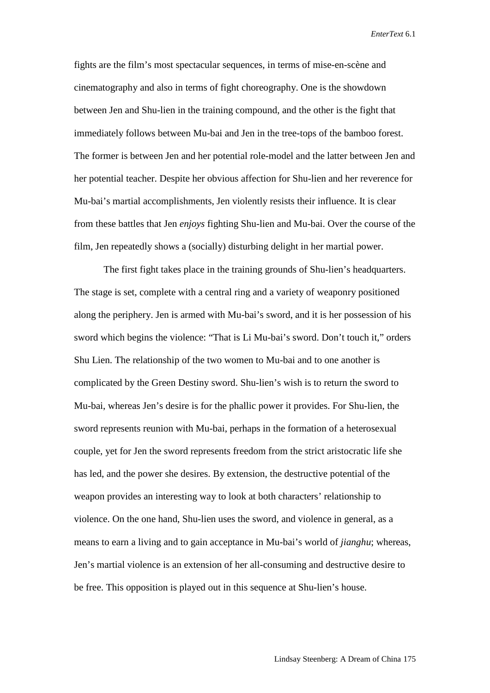fights are the film's most spectacular sequences, in terms of mise-en-scène and cinematography and also in terms of fight choreography. One is the showdown between Jen and Shu-lien in the training compound, and the other is the fight that immediately follows between Mu-bai and Jen in the tree-tops of the bamboo forest. The former is between Jen and her potential role-model and the latter between Jen and her potential teacher. Despite her obvious affection for Shu-lien and her reverence for Mu-bai's martial accomplishments, Jen violently resists their influence. It is clear from these battles that Jen *enjoys* fighting Shu-lien and Mu-bai. Over the course of the film, Jen repeatedly shows a (socially) disturbing delight in her martial power.

The first fight takes place in the training grounds of Shu-lien's headquarters. The stage is set, complete with a central ring and a variety of weaponry positioned along the periphery. Jen is armed with Mu-bai's sword, and it is her possession of his sword which begins the violence: "That is Li Mu-bai's sword. Don't touch it," orders Shu Lien. The relationship of the two women to Mu-bai and to one another is complicated by the Green Destiny sword. Shu-lien's wish is to return the sword to Mu-bai, whereas Jen's desire is for the phallic power it provides. For Shu-lien, the sword represents reunion with Mu-bai, perhaps in the formation of a heterosexual couple, yet for Jen the sword represents freedom from the strict aristocratic life she has led, and the power she desires. By extension, the destructive potential of the weapon provides an interesting way to look at both characters' relationship to violence. On the one hand, Shu-lien uses the sword, and violence in general, as a means to earn a living and to gain acceptance in Mu-bai's world of *jianghu*; whereas, Jen's martial violence is an extension of her all-consuming and destructive desire to be free. This opposition is played out in this sequence at Shu-lien's house.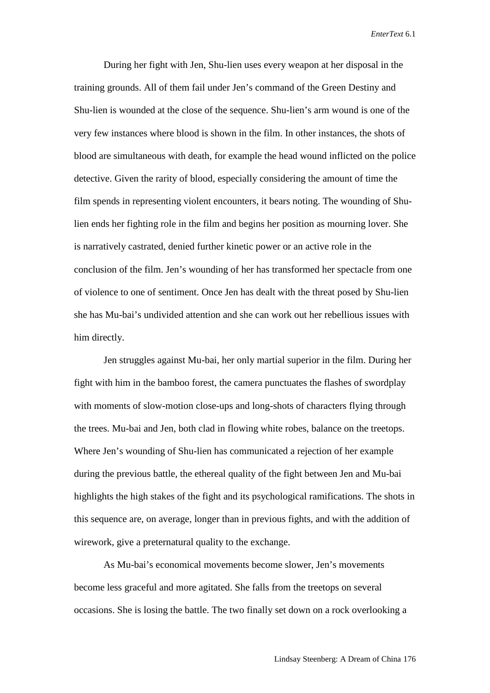During her fight with Jen, Shu-lien uses every weapon at her disposal in the training grounds. All of them fail under Jen's command of the Green Destiny and Shu-lien is wounded at the close of the sequence. Shu-lien's arm wound is one of the very few instances where blood is shown in the film. In other instances, the shots of blood are simultaneous with death, for example the head wound inflicted on the police detective. Given the rarity of blood, especially considering the amount of time the film spends in representing violent encounters, it bears noting. The wounding of Shulien ends her fighting role in the film and begins her position as mourning lover. She is narratively castrated, denied further kinetic power or an active role in the conclusion of the film. Jen's wounding of her has transformed her spectacle from one of violence to one of sentiment. Once Jen has dealt with the threat posed by Shu-lien she has Mu-bai's undivided attention and she can work out her rebellious issues with him directly.

Jen struggles against Mu-bai, her only martial superior in the film. During her fight with him in the bamboo forest, the camera punctuates the flashes of swordplay with moments of slow-motion close-ups and long-shots of characters flying through the trees. Mu-bai and Jen, both clad in flowing white robes, balance on the treetops. Where Jen's wounding of Shu-lien has communicated a rejection of her example during the previous battle, the ethereal quality of the fight between Jen and Mu-bai highlights the high stakes of the fight and its psychological ramifications. The shots in this sequence are, on average, longer than in previous fights, and with the addition of wirework, give a preternatural quality to the exchange.

As Mu-bai's economical movements become slower, Jen's movements become less graceful and more agitated. She falls from the treetops on several occasions. She is losing the battle. The two finally set down on a rock overlooking a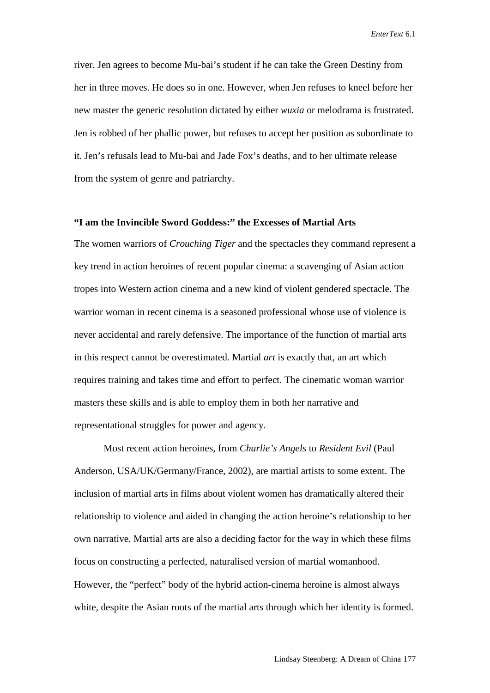river. Jen agrees to become Mu-bai's student if he can take the Green Destiny from her in three moves. He does so in one. However, when Jen refuses to kneel before her new master the generic resolution dictated by either *wuxia* or melodrama is frustrated. Jen is robbed of her phallic power, but refuses to accept her position as subordinate to it. Jen's refusals lead to Mu-bai and Jade Fox's deaths, and to her ultimate release from the system of genre and patriarchy.

### **"I am the Invincible Sword Goddess:" the Excesses of Martial Arts**

The women warriors of *Crouching Tiger* and the spectacles they command represent a key trend in action heroines of recent popular cinema: a scavenging of Asian action tropes into Western action cinema and a new kind of violent gendered spectacle. The warrior woman in recent cinema is a seasoned professional whose use of violence is never accidental and rarely defensive. The importance of the function of martial arts in this respect cannot be overestimated. Martial *art* is exactly that, an art which requires training and takes time and effort to perfect. The cinematic woman warrior masters these skills and is able to employ them in both her narrative and representational struggles for power and agency.

Most recent action heroines, from *Charlie's Angels* to *Resident Evil* (Paul Anderson, USA/UK/Germany/France, 2002)*,* are martial artists to some extent. The inclusion of martial arts in films about violent women has dramatically altered their relationship to violence and aided in changing the action heroine's relationship to her own narrative. Martial arts are also a deciding factor for the way in which these films focus on constructing a perfected, naturalised version of martial womanhood. However, the "perfect" body of the hybrid action-cinema heroine is almost always white, despite the Asian roots of the martial arts through which her identity is formed.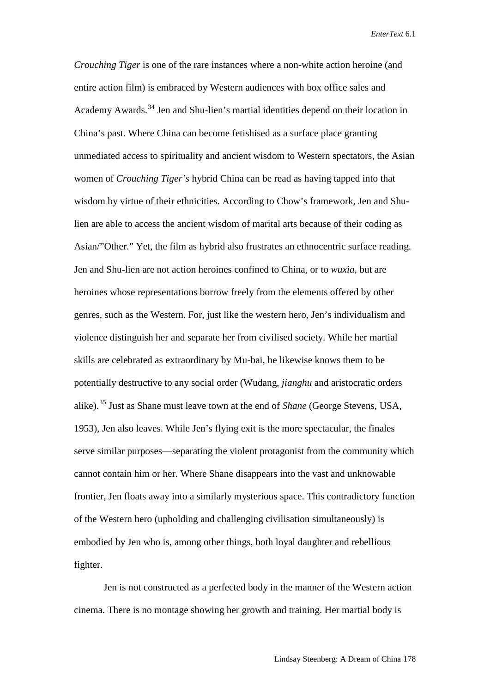*Crouching Tiger* is one of the rare instances where a non-white action heroine (and entire action film) is embraced by Western audiences with box office sales and Academy Awards.<sup>[34](#page-22-30)</sup> Jen and Shu-lien's martial identities depend on their location in China's past. Where China can become fetishised as a surface place granting unmediated access to spirituality and ancient wisdom to Western spectators, the Asian women of *Crouching Tiger's* hybrid China can be read as having tapped into that wisdom by virtue of their ethnicities. According to Chow's framework, Jen and Shulien are able to access the ancient wisdom of marital arts because of their coding as Asian/"Other." Yet, the film as hybrid also frustrates an ethnocentric surface reading. Jen and Shu-lien are not action heroines confined to China, or to *wuxia,* but are heroines whose representations borrow freely from the elements offered by other genres, such as the Western. For, just like the western hero, Jen's individualism and violence distinguish her and separate her from civilised society. While her martial skills are celebrated as extraordinary by Mu-bai, he likewise knows them to be potentially destructive to any social order (Wudang, *jianghu* and aristocratic orders alike).[35](#page-22-31) Just as Shane must leave town at the end of *Shane* (George Stevens, USA, 1953)*,* Jen also leaves. While Jen's flying exit is the more spectacular, the finales serve similar purposes—separating the violent protagonist from the community which cannot contain him or her. Where Shane disappears into the vast and unknowable frontier, Jen floats away into a similarly mysterious space. This contradictory function of the Western hero (upholding and challenging civilisation simultaneously) is embodied by Jen who is, among other things, both loyal daughter and rebellious fighter.

Jen is not constructed as a perfected body in the manner of the Western action cinema. There is no montage showing her growth and training. Her martial body is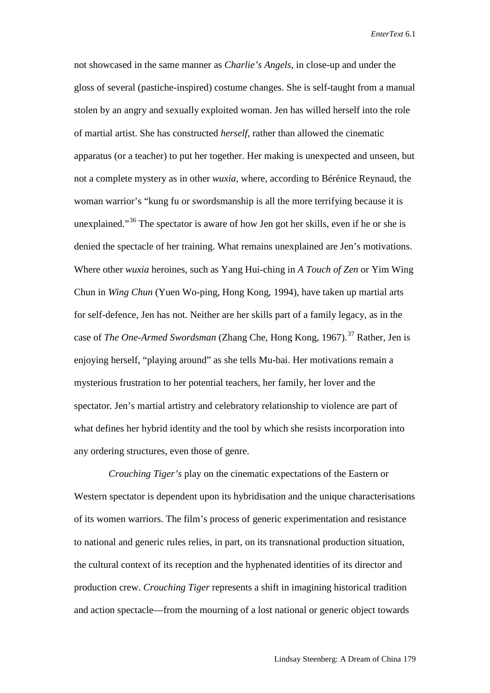not showcased in the same manner as *Charlie's Angels,* in close-up and under the gloss of several (pastiche-inspired) costume changes. She is self-taught from a manual stolen by an angry and sexually exploited woman. Jen has willed herself into the role of martial artist. She has constructed *herself*, rather than allowed the cinematic apparatus (or a teacher) to put her together. Her making is unexpected and unseen, but not a complete mystery as in other *wuxia,* where, according to Bérénice Reynaud, the woman warrior's "kung fu or swordsmanship is all the more terrifying because it is unexplained."[36](#page-22-32) The spectator is aware of how Jen got her skills, even if he or she is denied the spectacle of her training. What remains unexplained are Jen's motivations. Where other *wuxia* heroines, such as Yang Hui-ching in *A Touch of Zen* or Yim Wing Chun in *Wing Chun* (Yuen Wo-ping, Hong Kong, 1994), have taken up martial arts for self-defence, Jen has not. Neither are her skills part of a family legacy, as in the case of *The One-Armed Swordsman* (Zhang Che, Hong Kong, 1967). [37](#page-22-33) Rather, Jen is enjoying herself, "playing around" as she tells Mu-bai. Her motivations remain a mysterious frustration to her potential teachers, her family, her lover and the spectator. Jen's martial artistry and celebratory relationship to violence are part of what defines her hybrid identity and the tool by which she resists incorporation into any ordering structures, even those of genre.

 *Crouching Tiger's* play on the cinematic expectations of the Eastern or Western spectator is dependent upon its hybridisation and the unique characterisations of its women warriors. The film's process of generic experimentation and resistance to national and generic rules relies, in part, on its transnational production situation, the cultural context of its reception and the hyphenated identities of its director and production crew. *Crouching Tiger* represents a shift in imagining historical tradition and action spectacle—from the mourning of a lost national or generic object towards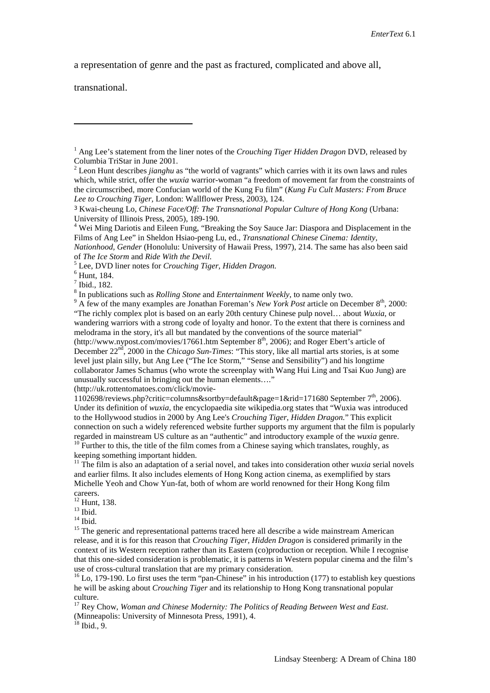a representation of genre and the past as fractured, complicated and above all,

transnational.

-

[\(http://uk.rottentomatoes.com/click/movie-](http://uk.rottentomatoes.com/click/movie-1102698/reviews.php?critic=columns&sortby=default&page=1&rid=171680)

[1102698/reviews.php?critic=columns&sortby=default&page=1&rid=171680](http://uk.rottentomatoes.com/click/movie-1102698/reviews.php?critic=columns&sortby=default&page=1&rid=171680) September  $7<sup>th</sup>$ , 2006). Under its definition of *wuxia,* the encyclopaedia site wikipedia.org states that "Wuxia was introduced to the [Hollywood](http://en.wikipedia.org/wiki/Hollywood) studios i[n 2000](http://en.wikipedia.org/wiki/2000) b[y Ang Lee's](http://en.wikipedia.org/wiki/Ang_Lee) *[Crouching Tiger, Hidden Dragon.](http://en.wikipedia.org/wiki/Crouching_Tiger%2C_Hidden_Dragon)*" This explicit connection on such a widely referenced website further supports my argument that the film is popularly regarded in mainstream US culture as an "authentic" and introductory example of the *wuxia* genre. <sup>10</sup> Further to this, the title of the film comes from a Chinese saying which translates, roughly, as keeping something important hidden.

<sup>11</sup> The film is also an adaptation of a serial novel, and takes into consideration other *wuxia* serial novels and earlier films. It also includes elements of Hong Kong action cinema, as exemplified by stars Michelle Yeoh and Chow Yun-fat, both of whom are world renowned for their Hong Kong film

careers.<br><sup>12</sup> Hunt, 138.

13 Ibid.<br><sup>14</sup> Ibid.<br><sup>15</sup> The generic and representational patterns traced here all describe a wide mainstream American release, and it is for this reason that *Crouching Tiger, Hidden Dragon* is considered primarily in the context of its Western reception rather than its Eastern (co)production or reception. While I recognise that this one-sided consideration is problematic, it is patterns in Western popular cinema and the film's

 $16$  Lo, 179-190. Lo first uses the term "pan-Chinese" in his introduction (177) to establish key questions he will be asking about *Crouching Tiger* and its relationship to Hong Kong transnational popular culture.

<sup>17</sup> Rey Chow, *Woman and Chinese Modernity: The Politics of Reading Between West and East*. (Minneapolis: University of Minnesota Press, 1991), 4.

 $18$  Ibid., 9.

<span id="page-21-0"></span><sup>1</sup> Ang Lee's statement from the liner notes of the *Crouching Tiger Hidden Dragon* DVD, released by Columbia TriStar in June 2001.

<span id="page-21-1"></span><sup>2</sup> Leon Hunt describes *jianghu* as "the world of vagrants" which carries with it its own laws and rules which, while strict, offer the *wuxia* warrior-woman "a freedom of movement far from the constraints of the circumscribed, more Confucian world of the Kung Fu film" (*Kung Fu Cult Masters: From Bruce Lee to Crouching Tiger,* London: Wallflower Press, 2003), 124.

<span id="page-21-2"></span><sup>3</sup> Kwai-cheung Lo, *Chinese Face/Off: The Transnational Popular Culture of Hong Kong* (Urbana:

<sup>&</sup>lt;sup>4</sup> Wei Ming Dariotis and Eileen Fung, "Breaking the Soy Sauce Jar: Diaspora and Displacement in the Films of Ang Lee" in Sheldon Hsiao-peng Lu, ed., *Transnational Chinese Cinema: Identity,* 

*Nationhood, Gender* (Honolulu: University of Hawaii Press, 1997), 214. The same has also been said of The Ice Storm and Ride With the Devil.<br>
<sup>5</sup> Lee, DVD liner notes for *Crouching Tiger*, Hidden Dragon.<br>
<sup>6</sup> Hunt, 184.<br>
<sup>7</sup> Ibid., 182.<br>
<sup>8</sup> In publications such as *Rolling Stone* and *Entertainment Weekly*, to name o

<sup>&</sup>quot;The richly complex plot is based on an early 20th century Chinese pulp novel… about *Wuxia*, or wandering warriors with a strong code of loyalty and honor. To the extent that there is corniness and melodrama in the story, it's all but mandated by the conventions of the source material" [\(http://www.nypost.com/movies/17661.htm](http://www.nypost.com/movies/17661.htm) September  $8<sup>th</sup>$ , 2006); and Roger Ebert's article of December 22<sup>nd</sup>, 2000 in the *Chicago Sun-Times*: "This story, like all martial arts stories, is at some level just plain silly, but [Ang Lee](http://rogerebert.suntimes.com/apps/pbcs.dll/classifieds?category=search1&SearchType=1&q=Ang%20Lee&Class=%25&FromDate=19150101&ToDate=20061231) (["The Ice Storm,](http://rogerebert.suntimes.com/apps/pbcs.dll/classifieds?category=REVIEWS01&TITLESearch=The%20Ice%20Storm&ToDate=20061231)" "Sense and Sensibility") and his longtime collaborator James Schamus (who wrote the screenplay with Wang Hui Ling and Tsai Kuo Jung) are unusually successful in bringing out the human elements…."